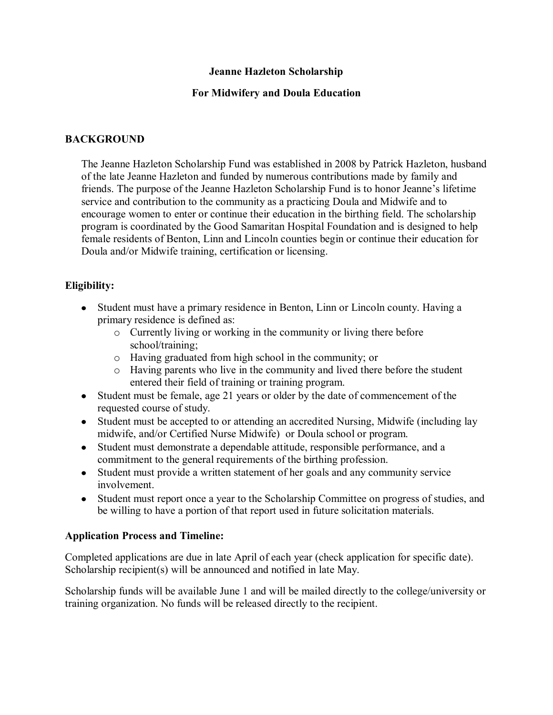#### **Jeanne Hazleton Scholarship**

## **For Midwifery and Doula Education**

# **BACKGROUND**

The Jeanne Hazleton Scholarship Fund was established in 2008 by Patrick Hazleton, husband of the late Jeanne Hazleton and funded by numerous contributions made by family and friends. The purpose of the Jeanne Hazleton Scholarship Fund is to honor Jeanne's lifetime service and contribution to the community as a practicing Doula and Midwife and to encourage women to enter or continue their education in the birthing field. The scholarship program is coordinated by the Good Samaritan Hospital Foundation and is designed to help female residents of Benton, Linn and Lincoln counties begin or continue their education for Doula and/or Midwife training, certification or licensing.

## **Eligibility:**

- Student must have a primary residence in Benton, Linn or Lincoln county. Having a primary residence is defined as:
	- o Currently living or working in the community or living there before school/training;
	- o Having graduated from high school in the community; or
	- o Having parents who live in the community and lived there before the student entered their field of training or training program.
- Student must be female, age 21 years or older by the date of commencement of the requested course of study.
- Student must be accepted to or attending an accredited Nursing, Midwife (including lay midwife, and/or Certified Nurse Midwife) or Doula school or program.
- Student must demonstrate a dependable attitude, responsible performance, and a commitment to the general requirements of the birthing profession.
- Student must provide a written statement of her goals and any community service involvement.
- Student must report once a year to the Scholarship Committee on progress of studies, and be willing to have a portion of that report used in future solicitation materials.

## **Application Process and Timeline:**

Completed applications are due in late April of each year (check application for specific date). Scholarship recipient(s) will be announced and notified in late May.

Scholarship funds will be available June 1 and will be mailed directly to the college/university or training organization. No funds will be released directly to the recipient.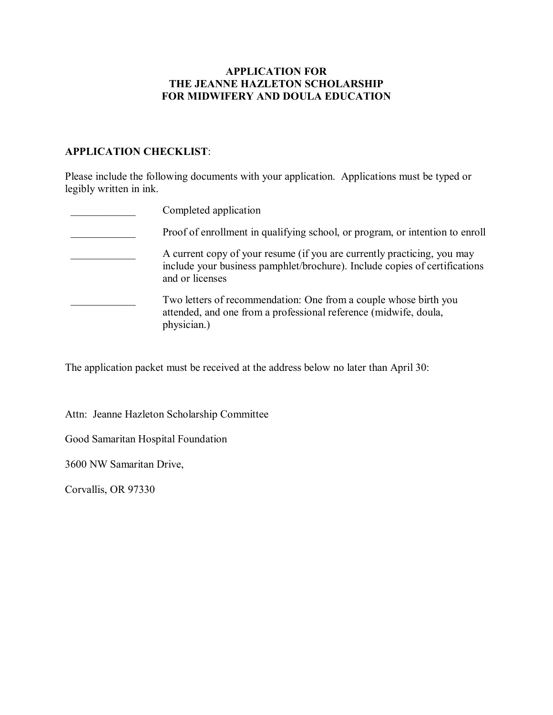#### **APPLICATION FOR THE JEANNE HAZLETON SCHOLARSHIP FOR MIDWIFERY AND DOULA EDUCATION**

#### **APPLICATION CHECKLIST**:

Please include the following documents with your application. Applications must be typed or legibly written in ink.

| Completed application                                                                                                                                                    |
|--------------------------------------------------------------------------------------------------------------------------------------------------------------------------|
| Proof of enrollment in qualifying school, or program, or intention to enroll                                                                                             |
| A current copy of your resume (if you are currently practicing, you may<br>include your business pamphlet/brochure). Include copies of certifications<br>and or licenses |
| Two letters of recommendation: One from a couple whose birth you<br>attended, and one from a professional reference (midwife, doula,<br>physician.)                      |

The application packet must be received at the address below no later than April 30:

Attn: Jeanne Hazleton Scholarship Committee

Good Samaritan Hospital Foundation

3600 NW Samaritan Drive,

Corvallis, OR 97330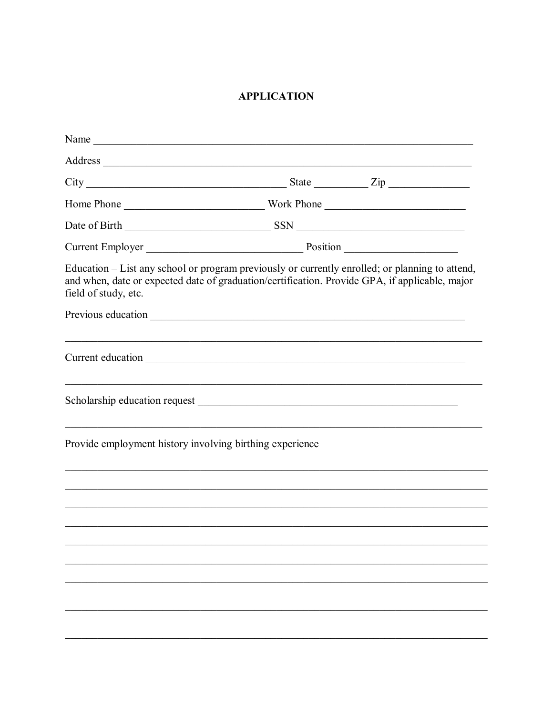# **APPLICATION**

| Name                                                     |                                                                                                                                                                                                   |
|----------------------------------------------------------|---------------------------------------------------------------------------------------------------------------------------------------------------------------------------------------------------|
|                                                          |                                                                                                                                                                                                   |
|                                                          | $City$ $2ip$                                                                                                                                                                                      |
|                                                          |                                                                                                                                                                                                   |
|                                                          |                                                                                                                                                                                                   |
|                                                          |                                                                                                                                                                                                   |
|                                                          | Education – List any school or program previously or currently enrolled; or planning to attend,<br>and when, date or expected date of graduation/certification. Provide GPA, if applicable, major |
|                                                          |                                                                                                                                                                                                   |
|                                                          | ,我们也不能在这里的人,我们也不能在这里的人,我们也不能不能不能不能不能不能不能不能不能不能不能。""我们的人,我们也不能不能不能不能不能不能不能不能不能不能不                                                                                                                  |
|                                                          |                                                                                                                                                                                                   |
| Provide employment history involving birthing experience |                                                                                                                                                                                                   |
|                                                          |                                                                                                                                                                                                   |
|                                                          |                                                                                                                                                                                                   |
|                                                          |                                                                                                                                                                                                   |
|                                                          |                                                                                                                                                                                                   |
|                                                          |                                                                                                                                                                                                   |
|                                                          |                                                                                                                                                                                                   |
|                                                          |                                                                                                                                                                                                   |
|                                                          |                                                                                                                                                                                                   |
|                                                          |                                                                                                                                                                                                   |